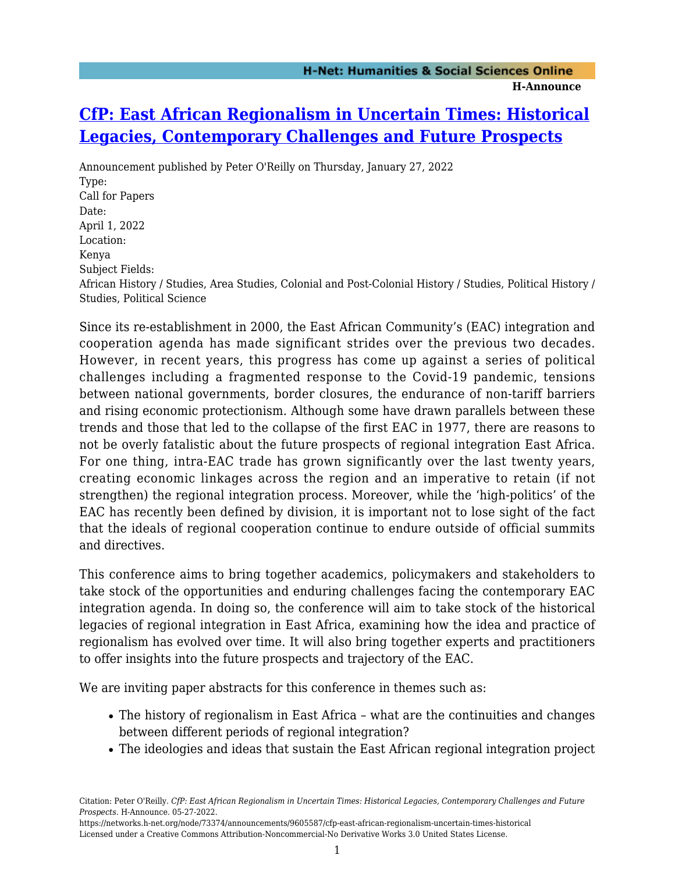## **[CfP: East African Regionalism in Uncertain Times: Historical](https://networks.h-net.org/node/73374/announcements/9605587/cfp-east-african-regionalism-uncertain-times-historical) [Legacies, Contemporary Challenges and Future Prospects](https://networks.h-net.org/node/73374/announcements/9605587/cfp-east-african-regionalism-uncertain-times-historical)**

Announcement published by Peter O'Reilly on Thursday, January 27, 2022 Type: Call for Papers Date: April 1, 2022 Location: Kenya Subject Fields: African History / Studies, Area Studies, Colonial and Post-Colonial History / Studies, Political History / Studies, Political Science

Since its re-establishment in 2000, the East African Community's (EAC) integration and cooperation agenda has made significant strides over the previous two decades. However, in recent years, this progress has come up against a series of political challenges including a fragmented response to the Covid-19 pandemic, tensions between national governments, border closures, the endurance of non-tariff barriers and rising economic protectionism. Although some have drawn parallels between these trends and those that led to the collapse of the first EAC in 1977, there are reasons to not be overly fatalistic about the future prospects of regional integration East Africa. For one thing, intra-EAC trade has grown significantly over the last twenty years, creating economic linkages across the region and an imperative to retain (if not strengthen) the regional integration process. Moreover, while the 'high-politics' of the EAC has recently been defined by division, it is important not to lose sight of the fact that the ideals of regional cooperation continue to endure outside of official summits and directives.

This conference aims to bring together academics, policymakers and stakeholders to take stock of the opportunities and enduring challenges facing the contemporary EAC integration agenda. In doing so, the conference will aim to take stock of the historical legacies of regional integration in East Africa, examining how the idea and practice of regionalism has evolved over time. It will also bring together experts and practitioners to offer insights into the future prospects and trajectory of the EAC.

We are inviting paper abstracts for this conference in themes such as:

- The history of regionalism in East Africa what are the continuities and changes between different periods of regional integration?
- The ideologies and ideas that sustain the East African regional integration project

https://networks.h-net.org/node/73374/announcements/9605587/cfp-east-african-regionalism-uncertain-times-historical Licensed under a Creative Commons Attribution-Noncommercial-No Derivative Works 3.0 United States License.